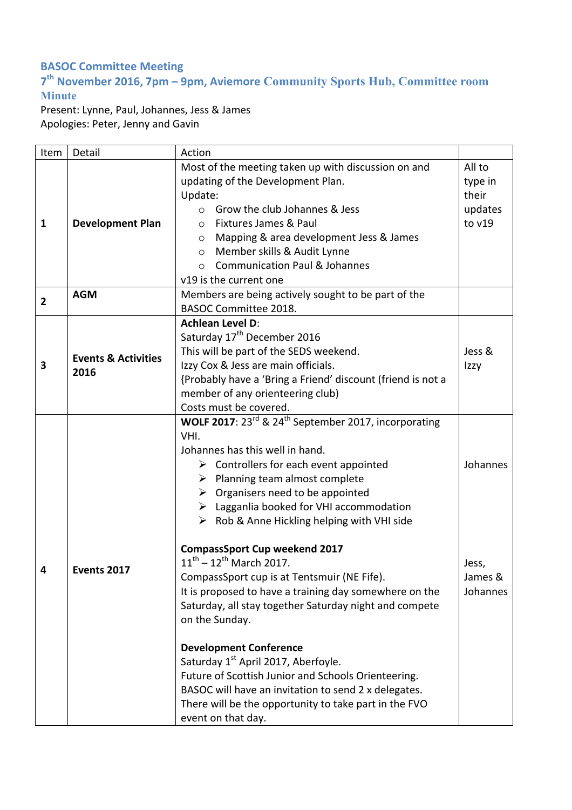## **BASOC Committee Meeting**

## **7th November 2016, 7pm – 9pm, Aviemore Community Sports Hub, Committee room Minute**

Present: Lynne, Paul, Johannes, Jess & James Apologies: Peter, Jenny and Gavin

| Item           | Detail                                 | Action                                                                       |          |
|----------------|----------------------------------------|------------------------------------------------------------------------------|----------|
|                |                                        | Most of the meeting taken up with discussion on and                          | All to   |
| 1              | <b>Development Plan</b>                | updating of the Development Plan.                                            | type in  |
|                |                                        | Update:                                                                      | their    |
|                |                                        | $\circ$ Grow the club Johannes & Jess                                        | updates  |
|                |                                        | Fixtures James & Paul<br>$\circ$                                             | to v19   |
|                |                                        | Mapping & area development Jess & James<br>$\circ$                           |          |
|                |                                        | Member skills & Audit Lynne<br>$\circ$                                       |          |
|                |                                        | <b>Communication Paul &amp; Johannes</b><br>$\circ$                          |          |
|                |                                        | v19 is the current one                                                       |          |
| $\overline{2}$ | <b>AGM</b>                             | Members are being actively sought to be part of the                          |          |
|                |                                        | <b>BASOC Committee 2018.</b>                                                 |          |
|                | <b>Events &amp; Activities</b><br>2016 | <b>Achlean Level D:</b>                                                      |          |
|                |                                        | Saturday 17 <sup>th</sup> December 2016                                      |          |
| 3              |                                        | This will be part of the SEDS weekend.                                       | Jess &   |
|                |                                        | Izzy Cox & Jess are main officials.                                          | Izzy     |
|                |                                        | {Probably have a 'Bring a Friend' discount (friend is not a                  |          |
|                |                                        | member of any orienteering club)                                             |          |
|                |                                        | Costs must be covered.                                                       |          |
|                | Events 2017                            | WOLF 2017: 23 <sup>rd</sup> & 24 <sup>th</sup> September 2017, incorporating |          |
|                |                                        | VHI.                                                                         |          |
|                |                                        | Johannes has this well in hand.                                              |          |
|                |                                        | $\triangleright$ Controllers for each event appointed                        | Johannes |
|                |                                        | $\triangleright$ Planning team almost complete                               |          |
|                |                                        | $\triangleright$ Organisers need to be appointed                             |          |
|                |                                        | $\triangleright$ Lagganlia booked for VHI accommodation                      |          |
| 4              |                                        | $\triangleright$ Rob & Anne Hickling helping with VHI side                   |          |
|                |                                        | <b>CompassSport Cup weekend 2017</b>                                         |          |
|                |                                        | $11^{th} - 12^{th}$ March 2017.                                              | Jess,    |
|                |                                        | CompassSport cup is at Tentsmuir (NE Fife).                                  | James &  |
|                |                                        | It is proposed to have a training day somewhere on the                       | Johannes |
|                |                                        | Saturday, all stay together Saturday night and compete                       |          |
|                |                                        | on the Sunday.                                                               |          |
|                |                                        |                                                                              |          |
|                |                                        | <b>Development Conference</b>                                                |          |
|                |                                        | Saturday 1 <sup>st</sup> April 2017, Aberfoyle.                              |          |
|                |                                        | Future of Scottish Junior and Schools Orienteering.                          |          |
|                |                                        | BASOC will have an invitation to send 2 x delegates.                         |          |
|                |                                        | There will be the opportunity to take part in the FVO                        |          |
|                |                                        | event on that day.                                                           |          |